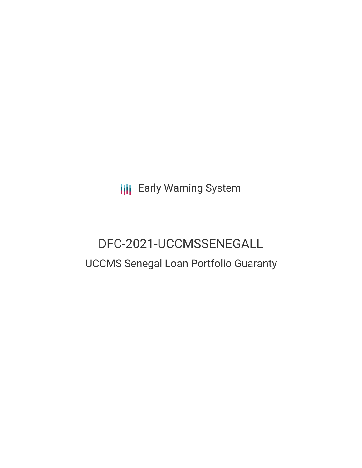**III** Early Warning System

# DFC-2021-UCCMSSENEGALL UCCMS Senegal Loan Portfolio Guaranty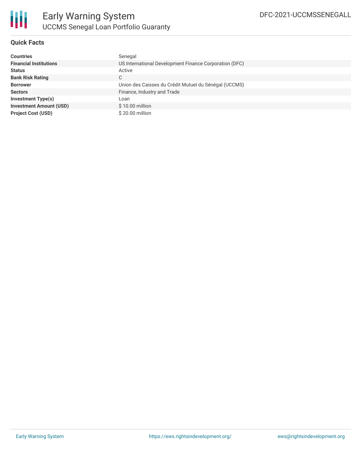

# **Quick Facts**

| <b>Countries</b>               | Senegal                                                |
|--------------------------------|--------------------------------------------------------|
| <b>Financial Institutions</b>  | US International Development Finance Corporation (DFC) |
| <b>Status</b>                  | Active                                                 |
| <b>Bank Risk Rating</b>        | С                                                      |
| <b>Borrower</b>                | Union des Caisses du Crédit Mutuel du Sénégal (UCCMS)  |
| <b>Sectors</b>                 | Finance, Industry and Trade                            |
| <b>Investment Type(s)</b>      | Loan                                                   |
| <b>Investment Amount (USD)</b> | $$10.00$ million                                       |
| <b>Project Cost (USD)</b>      | \$20.00 million                                        |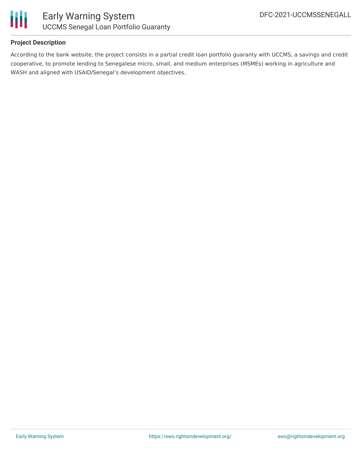

## **Project Description**

According to the bank website, the project consists in a partial credit loan portfolio guaranty with UCCMS, a savings and credit cooperative, to promote lending to Senegalese micro, small, and medium enterprises (MSMEs) working in agriculture and WASH and aligned with USAID/Senegal's development objectives.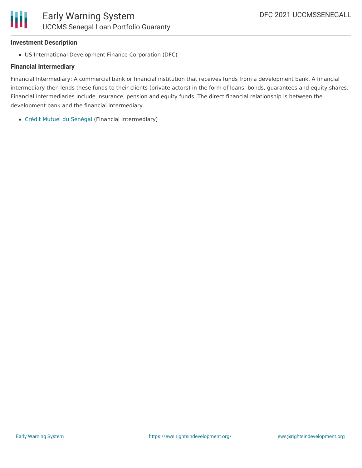## **Investment Description**

US International Development Finance Corporation (DFC)

# **Financial Intermediary**

Financial Intermediary: A commercial bank or financial institution that receives funds from a development bank. A financial intermediary then lends these funds to their clients (private actors) in the form of loans, bonds, guarantees and equity shares. Financial intermediaries include insurance, pension and equity funds. The direct financial relationship is between the development bank and the financial intermediary.

Crédit Mutuel du [Sénégal](file:///actor/7649/) (Financial Intermediary)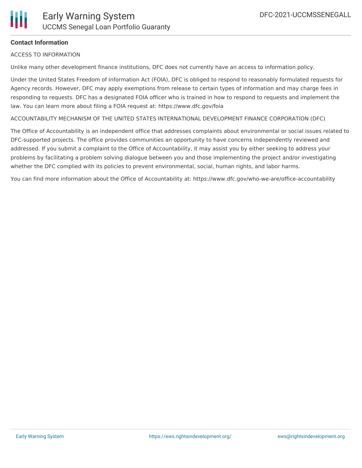## **Contact Information**

ACCESS TO INFORMATION

Unlike many other development finance institutions, DFC does not currently have an access to information policy.

Under the United States Freedom of Information Act (FOIA), DFC is obliged to respond to reasonably formulated requests for Agency records. However, DFC may apply exemptions from release to certain types of information and may charge fees in responding to requests. DFC has a designated FOIA officer who is trained in how to respond to requests and implement the law. You can learn more about filing a FOIA request at: https://www.dfc.gov/foia

ACCOUNTABILITY MECHANISM OF THE UNITED STATES INTERNATIONAL DEVELOPMENT FINANCE CORPORATION (DFC)

The Office of Accountability is an independent office that addresses complaints about environmental or social issues related to DFC-supported projects. The office provides communities an opportunity to have concerns independently reviewed and addressed. If you submit a complaint to the Office of Accountability, it may assist you by either seeking to address your problems by facilitating a problem solving dialogue between you and those implementing the project and/or investigating whether the DFC complied with its policies to prevent environmental, social, human rights, and labor harms.

You can find more information about the Office of Accountability at: https://www.dfc.gov/who-we-are/office-accountability